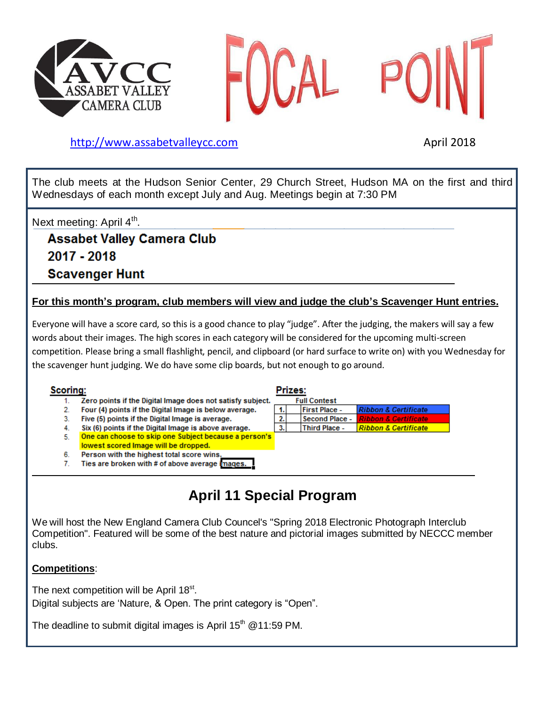





## [http://www.assabetvalleyc](http://www.assabetvalley/)c.com April 2018

The club meets at the Hudson Senior Center, 29 Church Street, Hudson MA on the first and third Wednesdays of each month except July and Aug. Meetings begin at 7:30 PM

Next meeting: April 4<sup>th</sup>.

**Assabet Valley Camera Club** 2017 - 2018 **Scavenger Hunt** 

## **For this month's program, club members will view and judge the club's Scavenger Hunt entries.**

Everyone will have a score card, so this is a good chance to play "judge". After the judging, the makers will say a few words about their images. The high scores in each category will be considered for the upcoming multi-screen competition. Please bring a small flashlight, pencil, and clipboard (or hard surface to write on) with you Wednesday for the scavenger hunt judging. We do have some clip boards, but not enough to go around.

### Scorina:

### Prizes:



# **April 11 Special Program**

We will host the New England Camera Club Councel's "Spring 2018 Electronic Photograph Interclub Competition". Featured will be some of the best nature and pictorial images submitted by NECCC member clubs.

### **Competitions**:

The next competition will be April 18<sup>st</sup>. Digital subjects are 'Nature, & Open. The print category is "Open".

The deadline to submit digital images is April 15<sup>th</sup> @11:59 PM.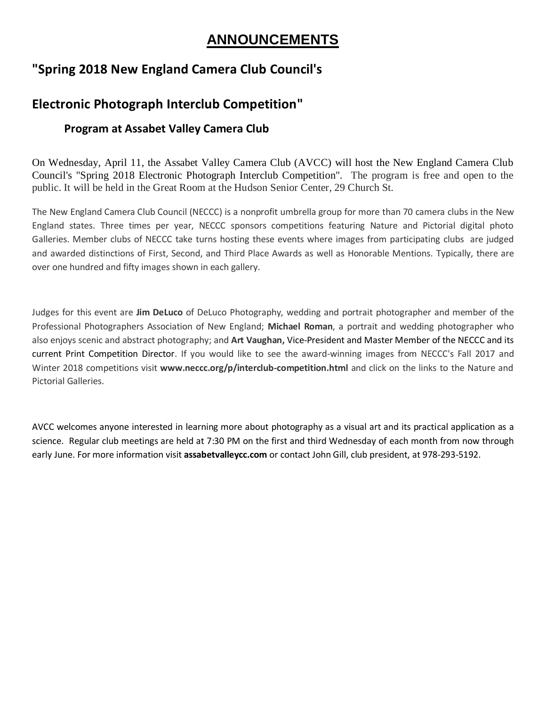# **ANNOUNCEMENTS**

## **"Spring 2018 New England Camera Club Council's**

# **Electronic Photograph Interclub Competition"**

## **Program at Assabet Valley Camera Club**

On Wednesday, April 11, the Assabet Valley Camera Club (AVCC) will host the New England Camera Club Council's "Spring 2018 Electronic Photograph Interclub Competition". The program is free and open to the public. It will be held in the Great Room at the Hudson Senior Center, 29 Church St.

The New England Camera Club Council (NECCC) is a nonprofit umbrella group for more than 70 camera clubs in the New England states. Three times per year, NECCC sponsors competitions featuring Nature and Pictorial digital photo Galleries. Member clubs of NECCC take turns hosting these events where images from participating clubs are judged and awarded distinctions of First, Second, and Third Place Awards as well as Honorable Mentions. Typically, there are over one hundred and fifty images shown in each gallery.

Judges for this event are **Jim DeLuco** of DeLuco Photography, wedding and portrait photographer and member of the Professional Photographers Association of New England; **Michael Roman**, a portrait and wedding photographer who also enjoys scenic and abstract photography; and **Art Vaughan,** Vice-President and Master Member of the NECCC and its current Print Competition Director. If you would like to see the award-winning images from NECCC's Fall 2017 and Winter 2018 competitions visit www.neccc.org/p/interclub-competition.html and click on the links to the Nature and Pictorial Galleries.

AVCC welcomes anyone interested in learning more about photography as a visual art and its practical application as a science. Regular club meetings are held at 7:30 PM on the first and third Wednesday of each month from now through early June. For more information visit **assabetvalleycc.com** or contact John Gill, club president, at 978-293-5192.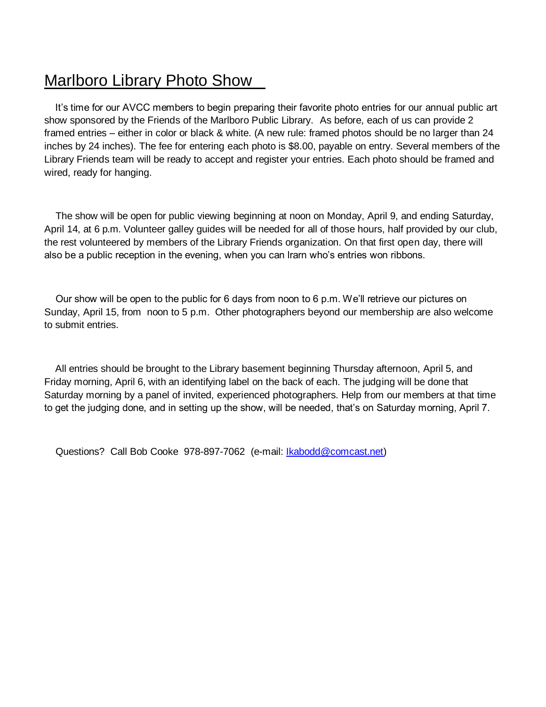# Marlboro Library Photo Show

 It's time for our AVCC members to begin preparing their favorite photo entries for our annual public art show sponsored by the Friends of the Marlboro Public Library. As before, each of us can provide 2 framed entries – either in color or black & white. (A new rule: framed photos should be no larger than 24 inches by 24 inches). The fee for entering each photo is \$8.00, payable on entry. Several members of the Library Friends team will be ready to accept and register your entries. Each photo should be framed and wired, ready for hanging.

 The show will be open for public viewing beginning at noon on Monday, April 9, and ending Saturday, April 14, at 6 p.m. Volunteer galley guides will be needed for all of those hours, half provided by our club, the rest volunteered by members of the Library Friends organization. On that first open day, there will also be a public reception in the evening, when you can lrarn who's entries won ribbons.

 Our show will be open to the public for 6 days from noon to 6 p.m. We'll retrieve our pictures on Sunday, April 15, from noon to 5 p.m. Other photographers beyond our membership are also welcome to submit entries.

 All entries should be brought to the Library basement beginning Thursday afternoon, April 5, and Friday morning, April 6, with an identifying label on the back of each. The judging will be done that Saturday morning by a panel of invited, experienced photographers. Help from our members at that time to get the judging done, and in setting up the show, will be needed, that's on Saturday morning, April 7.

Questions? Call Bob Cooke 978-897-7062 (e-mail: *Ikabodd@comcast.net)*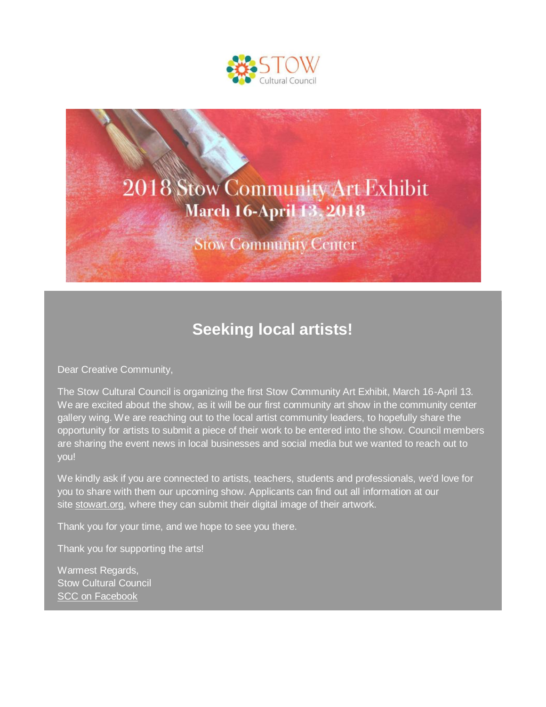



# **Seeking local artists!**

Dear Creative Community,

The Stow Cultural Council is organizing the first Stow Community Art Exhibit, March 16-April 13. We are excited about the show, as it will be our first community art show in the community center gallery wing. We are reaching out to the local artist community leaders, to hopefully share the opportunity for artists to submit a piece of their work to be entered into the show. Council members are sharing the event news in local businesses and social media but we wanted to reach out to you!

We kindly ask if you are connected to artists, teachers, students and professionals, we'd love for you to share with them our upcoming show. Applicants can find out all information at our site [stowart.org,](http://r20.rs6.net/tn.jsp?f=001WZgIQUD_RzUGWp5zKd7JGxXN2ZFVo3wmoWE05n_44HuZ0JWR9Hy5BEc2_6YPQEX4r1U768L3grYiIxLJnXu7NQfLEaTFfvlr24gwvpT2X0rXRtM6dT8NGtBwnnYJqFatjBMLDG-y-W4=&c=-uvSGly5l-B7Di7cOiiU5E6AI5DPHul6g0eOTezN48CDrwBe-gjuBQ==&ch=grTay1cUCKdrhmLnTtf9nRA85gZRKxOhIh1PiLkh2n9HuU4BCi3c2g==) where they can submit their digital image of their artwork.

Thank you for your time, and we hope to see you there.

Thank you for supporting the arts!

Warmest Regards, Stow Cultural Council [SCC on Facebook](http://r20.rs6.net/tn.jsp?f=001WZgIQUD_RzUGWp5zKd7JGxXN2ZFVo3wmoWE05n_44HuZ0JWR9Hy5BEc2_6YPQEX4KHX4DXR3MUHcjeQA2M_I6ufyS0ZHcW4gUIvlnMbLIIpu6drXspdmL8FkcmZJMAY3ZBU6vDNMVv1CgSc21OTwFcKcPB7bFRuGI8fVdX5V-gv-gs4Q7RDJkw==&c=-uvSGly5l-B7Di7cOiiU5E6AI5DPHul6g0eOTezN48CDrwBe-gjuBQ==&ch=grTay1cUCKdrhmLnTtf9nRA85gZRKxOhIh1PiLkh2n9HuU4BCi3c2g==)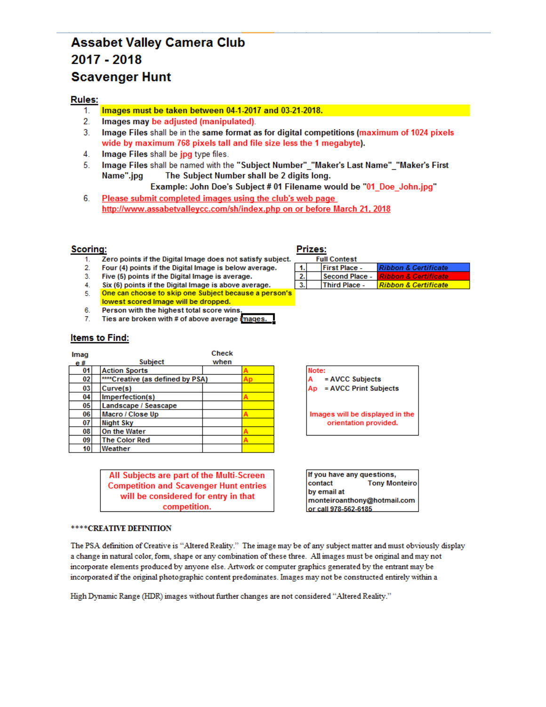## **Assabet Valley Camera Club** 2017 - 2018 **Scavenger Hunt**

### **Rules:**

- Images must be taken between 04-1-2017 and 03-21-2018. 1.
- $2.$ Images may be adjusted (manipulated).
- $3<sub>1</sub>$ Image Files shall be in the same format as for digital competitions (maximum of 1024 pixels wide by maximum 768 pixels tall and file size less the 1 megabyte).
- 4. Image Files shall be jpg type files.
- 5. Image Files shall be named with the "Subject Number" "Maker's Last Name" "Maker's First Name".jpg The Subject Number shall be 2 digits long.

Example: John Doe's Subject # 01 Filename would be "01\_Doe\_John.jpg"

6. Please submit completed images using the club's web page http://www.assabetvalleycc.com/sh/index.php on or before March 21, 2018

### **Scoring:**

- Zero points if the Digital Image does not satisfy subject.  $1<sup>1</sup>$
- $2.$ Four (4) points if the Digital Image is below average.
- Five (5) points if the Digital Image is average.  $3.$
- Six (6) points if the Digital Image is above average.  $4.$
- One can choose to skip one Subject because a person's 5.
- lowest scored Image will be dropped. 6.
- Person with the highest total score wins  $7.$ Ties are broken with # of above average images.

### **Items to Find:**

| Imag |                                  | <b>Check</b> |  |
|------|----------------------------------|--------------|--|
| e#   | <b>Subject</b>                   | when         |  |
| 01   | <b>Action Sports</b>             |              |  |
| 02   | ****Creative (as defined by PSA) |              |  |
| 03   | Curve(s)                         |              |  |
| 04   | Imperfection(s)                  |              |  |
| 05   | Landscape / Seascape             |              |  |
| 06   | Macro / Close Up                 |              |  |
| 07   | <b>Night Sky</b>                 |              |  |
| 08   | On the Water                     |              |  |
| 09   | <b>The Color Red</b>             |              |  |
| 10   | Weather                          |              |  |

All Subjects are part of the Multi-Screen **Competition and Scavenger Hunt entries** will be considered for entry in that competition.

#### \*\*\*\* CREATIVE DEFINITION

The PSA definition of Creative is "Altered Reality." The image may be of any subject matter and must obviously display a change in natural color, form, shape or any combination of these three. All images must be original and may not incorporate elements produced by anyone else. Artwork or computer graphics generated by the entrant may be incorporated if the original photographic content predominates. Images may not be constructed entirely within a

High Dynamic Range (HDR) images without further changes are not considered "Altered Reality."

### Prizes:

|  | <b>Full Contest</b>  |                                    |
|--|----------------------|------------------------------------|
|  | <b>First Place -</b> | <b>Ribbon &amp; Certificate</b>    |
|  | Second Place -       | <u> I Ribbon &amp; Certificate</u> |
|  | <b>Third Place -</b> | Ribbon & Certificate               |

Note: = AVCC Subjects = AVCC Print Subjects Ap

Images will be displayed in the orientation provided.

If you have any questions, contact **Tony Monteiro** by email at monteiroanthony@hotmail.com or call 978-562-6185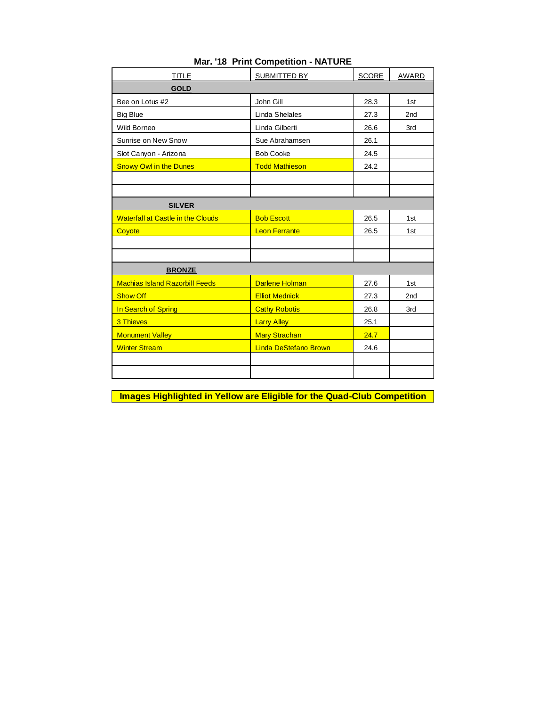| <b>TITLE</b>                             | SUBMITTED BY                 | <b>SCORE</b> | AWARD           |
|------------------------------------------|------------------------------|--------------|-----------------|
| <b>GOLD</b>                              |                              |              |                 |
| Bee on Lotus #2                          | John Gill                    | 28.3         | 1st             |
| <b>Big Blue</b>                          | Linda Shelales               | 27.3         | 2 <sub>nd</sub> |
| Wild Borneo                              | Linda Gilberti               | 26.6         | 3rd             |
| Sunrise on New Snow                      | Sue Abrahamsen               | 26.1         |                 |
| Slot Canyon - Arizona                    | <b>Bob Cooke</b>             | 24.5         |                 |
| <b>Snowy Owl in the Dunes</b>            | <b>Todd Mathieson</b>        | 24.2         |                 |
|                                          |                              |              |                 |
|                                          |                              |              |                 |
| <b>SILVER</b>                            |                              |              |                 |
| <b>Waterfall at Castle in the Clouds</b> | <b>Bob Escott</b>            | 26.5         | 1st             |
| Coyote                                   | <b>Leon Ferrante</b>         | 26.5         | 1st             |
|                                          |                              |              |                 |
|                                          |                              |              |                 |
| <b>BRONZE</b>                            |                              |              |                 |
| <b>Machias Island Razorbill Feeds</b>    | <b>Darlene Holman</b>        | 27.6         | 1st             |
| <b>Show Off</b>                          | <b>Elliot Mednick</b>        | 27.3         | 2nd             |
| In Search of Spring                      | <b>Cathy Robotis</b>         | 26.8         | 3rd             |
| 3 Thieves                                | <b>Larry Alley</b>           | 25.1         |                 |
| <b>Monument Valley</b>                   | <b>Mary Strachan</b>         | 24.7         |                 |
| <b>Winter Stream</b>                     | <b>Linda DeStefano Brown</b> | 24.6         |                 |
|                                          |                              |              |                 |
|                                          |                              |              |                 |

## **Mar. '18 Print Competition - NATURE**

**Images Highlighted in Yellow are Eligible for the Quad-Club Competition**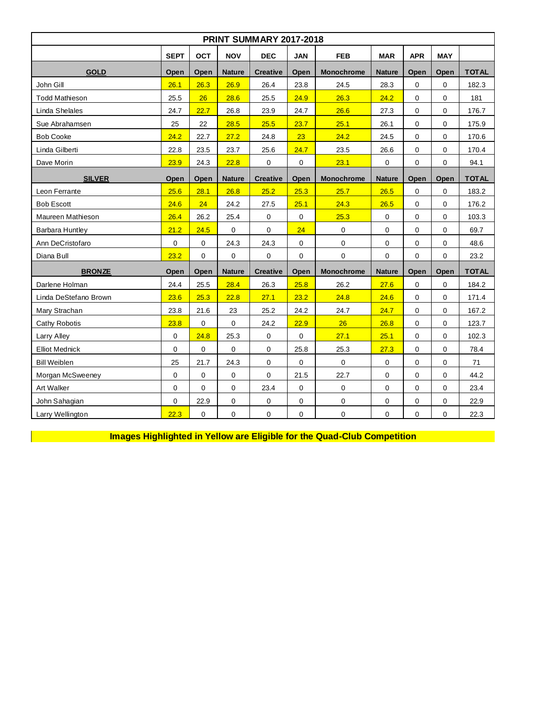| <b>PRINT SUMMARY 2017-2018</b> |                                                                                                                             |      |               |                 |             |                   |               |      |             |              |  |  |
|--------------------------------|-----------------------------------------------------------------------------------------------------------------------------|------|---------------|-----------------|-------------|-------------------|---------------|------|-------------|--------------|--|--|
|                                | <b>SEPT</b><br><b>OCT</b><br><b>NOV</b><br><b>DEC</b><br><b>FEB</b><br><b>MAR</b><br><b>APR</b><br><b>MAY</b><br><b>JAN</b> |      |               |                 |             |                   |               |      |             |              |  |  |
| <b>GOLD</b>                    | Open                                                                                                                        | Open | <b>Nature</b> | <b>Creative</b> | Open        | Monochrome        | <b>Nature</b> | Open | Open        | <b>TOTAL</b> |  |  |
| John Gill                      | 26.1                                                                                                                        | 26.3 | 26.9          | 26.4            | 23.8        | 24.5              | 28.3          | 0    | 0           | 182.3        |  |  |
| <b>Todd Mathieson</b>          | 25.5                                                                                                                        | 26   | 28.6          | 25.5            | 24.9        | 26.3              | 24.2          | 0    | 0           | 181          |  |  |
| Linda Shelales                 | 24.7                                                                                                                        | 22.7 | 26.8          | 23.9            | 24.7        | 26.6              | 27.3          | 0    | $\mathbf 0$ | 176.7        |  |  |
| Sue Abrahamsen                 | 25                                                                                                                          | 22   | 28.5          | 25.5            | 23.7        | 25.1              | 26.1          | 0    | $\mathbf 0$ | 175.9        |  |  |
| <b>Bob Cooke</b>               | 24.2                                                                                                                        | 22.7 | 27.2          | 24.8            | 23          | 24.2              | 24.5          | 0    | $\mathbf 0$ | 170.6        |  |  |
| Linda Gilberti                 | 22.8                                                                                                                        | 23.5 | 23.7          | 25.6            | 24.7        | 23.5              | 26.6          | 0    | $\Omega$    | 170.4        |  |  |
| Dave Morin                     | 23.9                                                                                                                        | 24.3 | 22.8          | $\mathbf 0$     | 0           | 23.1              | 0             | 0    | 0           | 94.1         |  |  |
| <b>SILVER</b>                  | Open                                                                                                                        | Open | <b>Nature</b> | <b>Creative</b> | Open        | <b>Monochrome</b> | <b>Nature</b> | Open | Open        | <b>TOTAL</b> |  |  |
| Leon Ferrante                  | 25.6                                                                                                                        | 28.1 | 26.8          | 25.2            | 25.3        | 25.7              | 26.5          | 0    | $\mathbf 0$ | 183.2        |  |  |
| <b>Bob Escott</b>              | 24.6                                                                                                                        | 24   | 24.2          | 27.5            | 25.1        | 24.3              | 26.5          | 0    | $\mathbf 0$ | 176.2        |  |  |
| Maureen Mathieson              | 26.4                                                                                                                        | 26.2 | 25.4          | $\mathbf 0$     | $\mathbf 0$ | 25.3              | 0             | 0    | $\mathbf 0$ | 103.3        |  |  |
| Barbara Huntley                | 21.2                                                                                                                        | 24.5 | $\mathbf 0$   | 0               | 24          | 0                 | 0             | 0    | $\mathbf 0$ | 69.7         |  |  |
| Ann DeCristofaro               | 0                                                                                                                           | 0    | 24.3          | 24.3            | $\mathbf 0$ | $\mathbf 0$       | 0             | 0    | 0           | 48.6         |  |  |
| Diana Bull                     | 23.2                                                                                                                        | 0    | $\mathbf 0$   | 0               | $\mathbf 0$ | 0                 | 0             | 0    | 0           | 23.2         |  |  |
| <b>BRONZE</b>                  | Open                                                                                                                        | Open | <b>Nature</b> | <b>Creative</b> | Open        | <b>Monochrome</b> | <b>Nature</b> | Open | Open        | <b>TOTAL</b> |  |  |
| Darlene Holman                 | 24.4                                                                                                                        | 25.5 | 28.4          | 26.3            | 25.8        | 26.2              | 27.6          | 0    | $\mathbf 0$ | 184.2        |  |  |
| Linda DeStefano Brown          | 23.6                                                                                                                        | 25.3 | 22.8          | 27.1            | 23.2        | 24.8              | 24.6          | 0    | $\Omega$    | 171.4        |  |  |
| Mary Strachan                  | 23.8                                                                                                                        | 21.6 | 23            | 25.2            | 24.2        | 24.7              | 24.7          | 0    | $\Omega$    | 167.2        |  |  |
| <b>Cathy Robotis</b>           | 23.8                                                                                                                        | 0    | $\mathbf 0$   | 24.2            | 22.9        | 26                | 26.8          | 0    | $\mathbf 0$ | 123.7        |  |  |
| Larry Alley                    | 0                                                                                                                           | 24.8 | 25.3          | 0               | $\mathbf 0$ | 27.1              | 25.1          | 0    | $\Omega$    | 102.3        |  |  |
| <b>Elliot Mednick</b>          | 0                                                                                                                           | 0    | 0             | 0               | 25.8        | 25.3              | 27.3          | 0    | 0           | 78.4         |  |  |
| <b>Bill Weiblen</b>            | 25                                                                                                                          | 21.7 | 24.3          | 0               | $\mathbf 0$ | $\mathbf 0$       | 0             | 0    | 0           | 71           |  |  |
| Morgan McSweeney               | 0                                                                                                                           | 0    | $\mathbf 0$   | 0               | 21.5        | 22.7              | 0             | 0    | 0           | 44.2         |  |  |
| Art Walker                     | 0                                                                                                                           | 0    | $\mathbf 0$   | 23.4            | $\pmb{0}$   | $\pmb{0}$         | 0             | 0    | $\mathbf 0$ | 23.4         |  |  |
| John Sahagian                  | 0                                                                                                                           | 22.9 | $\mathbf 0$   | 0               | 0           | $\pmb{0}$         | 0             | 0    | $\mathbf 0$ | 22.9         |  |  |
| Larry Wellington               | 22.3                                                                                                                        | 0    | 0             | $\pmb{0}$       | $\pmb{0}$   | 0                 | 0             | 0    | 0           | 22.3         |  |  |

**Images Highlighted in Yellow are Eligible for the Quad-Club Competition**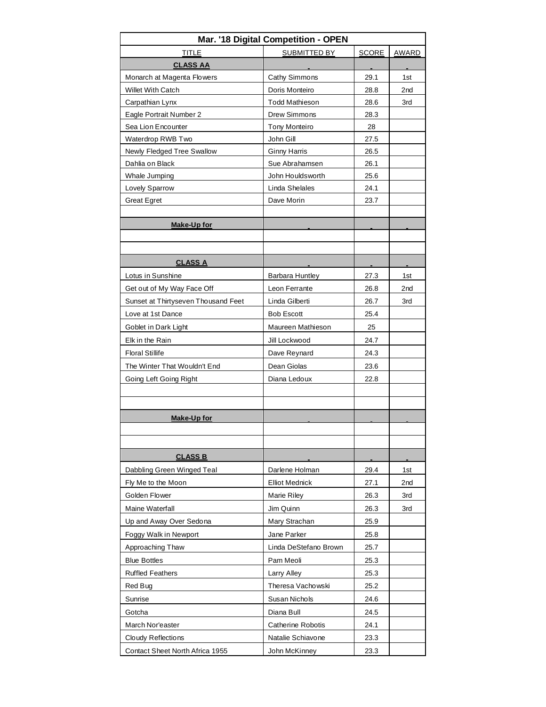| Mar. '18 Digital Competition - OPEN |                          |              |                 |  |  |  |  |  |  |  |  |
|-------------------------------------|--------------------------|--------------|-----------------|--|--|--|--|--|--|--|--|
| <b>TITLE</b>                        | SUBMITTED BY             | <b>SCORE</b> | AWARD           |  |  |  |  |  |  |  |  |
| <b>CLASS AA</b>                     |                          |              |                 |  |  |  |  |  |  |  |  |
| Monarch at Magenta Flowers          | <b>Cathy Simmons</b>     | 29.1         | 1st             |  |  |  |  |  |  |  |  |
| <b>Willet With Catch</b>            | Doris Monteiro           | 28.8         | 2 <sub>nd</sub> |  |  |  |  |  |  |  |  |
| Carpathian Lynx                     | <b>Todd Mathieson</b>    | 28.6         | 3rd             |  |  |  |  |  |  |  |  |
| Eagle Portrait Number 2             | Drew Simmons             | 28.3         |                 |  |  |  |  |  |  |  |  |
| Sea Lion Encounter                  | <b>Tony Monteiro</b>     | 28           |                 |  |  |  |  |  |  |  |  |
| Waterdrop RWB Two                   | John Gill                | 27.5         |                 |  |  |  |  |  |  |  |  |
| Newly Fledged Tree Swallow          | <b>Ginny Harris</b>      | 26.5         |                 |  |  |  |  |  |  |  |  |
| Dahlia on Black                     | Sue Abrahamsen           | 26.1         |                 |  |  |  |  |  |  |  |  |
| Whale Jumping                       | John Houldsworth         | 25.6         |                 |  |  |  |  |  |  |  |  |
| Lovely Sparrow                      | Linda Shelales           | 24.1         |                 |  |  |  |  |  |  |  |  |
| <b>Great Egret</b>                  | Dave Morin               | 23.7         |                 |  |  |  |  |  |  |  |  |
|                                     |                          |              |                 |  |  |  |  |  |  |  |  |
| Make-Up for                         |                          |              |                 |  |  |  |  |  |  |  |  |
|                                     |                          |              |                 |  |  |  |  |  |  |  |  |
|                                     |                          |              |                 |  |  |  |  |  |  |  |  |
| <b>CLASS A</b>                      |                          |              |                 |  |  |  |  |  |  |  |  |
| Lotus in Sunshine                   | Barbara Huntley          | 27.3         | 1st             |  |  |  |  |  |  |  |  |
| Get out of My Way Face Off          | Leon Ferrante            | 26.8         | 2 <sub>nd</sub> |  |  |  |  |  |  |  |  |
| Sunset at Thirtyseven Thousand Feet | Linda Gilberti           | 26.7         | 3rd             |  |  |  |  |  |  |  |  |
| Love at 1st Dance                   | <b>Bob Escott</b>        | 25.4         |                 |  |  |  |  |  |  |  |  |
| Goblet in Dark Light                | Maureen Mathieson        | 25           |                 |  |  |  |  |  |  |  |  |
| Elk in the Rain                     | Jill Lockwood            | 24.7         |                 |  |  |  |  |  |  |  |  |
| <b>Floral Stillife</b>              | Dave Reynard             | 24.3         |                 |  |  |  |  |  |  |  |  |
| The Winter That Wouldn't End        | Dean Giolas              | 23.6         |                 |  |  |  |  |  |  |  |  |
| Going Left Going Right              | Diana Ledoux             | 22.8         |                 |  |  |  |  |  |  |  |  |
|                                     |                          |              |                 |  |  |  |  |  |  |  |  |
|                                     |                          |              |                 |  |  |  |  |  |  |  |  |
| Make-Up for                         |                          |              |                 |  |  |  |  |  |  |  |  |
|                                     |                          |              |                 |  |  |  |  |  |  |  |  |
|                                     |                          |              |                 |  |  |  |  |  |  |  |  |
| <b>CLASS B</b>                      |                          |              |                 |  |  |  |  |  |  |  |  |
| Dabbling Green Winged Teal          | Darlene Holman           | 29.4         | 1st             |  |  |  |  |  |  |  |  |
| Fly Me to the Moon                  | <b>Elliot Mednick</b>    | 27.1         | 2nd             |  |  |  |  |  |  |  |  |
| Golden Flower                       | Marie Riley              | 26.3         | 3rd             |  |  |  |  |  |  |  |  |
| Maine Waterfall                     | Jim Quinn                | 26.3         | 3rd             |  |  |  |  |  |  |  |  |
| Up and Away Over Sedona             | Mary Strachan            | 25.9         |                 |  |  |  |  |  |  |  |  |
| Foggy Walk in Newport               | Jane Parker              | 25.8         |                 |  |  |  |  |  |  |  |  |
| Approaching Thaw                    | Linda DeStefano Brown    | 25.7         |                 |  |  |  |  |  |  |  |  |
| <b>Blue Bottles</b>                 | Pam Meoli                | 25.3         |                 |  |  |  |  |  |  |  |  |
| <b>Ruffled Feathers</b>             | Larry Alley              | 25.3         |                 |  |  |  |  |  |  |  |  |
| Red Bug                             | Theresa Vachowski        | 25.2         |                 |  |  |  |  |  |  |  |  |
| Sunrise                             | Susan Nichols            | 24.6         |                 |  |  |  |  |  |  |  |  |
| Gotcha                              | Diana Bull               | 24.5         |                 |  |  |  |  |  |  |  |  |
| March Nor'easter                    | <b>Catherine Robotis</b> | 24.1         |                 |  |  |  |  |  |  |  |  |
| Cloudy Reflections                  | Natalie Schiavone        | 23.3         |                 |  |  |  |  |  |  |  |  |
|                                     |                          |              |                 |  |  |  |  |  |  |  |  |
| Contact Sheet North Africa 1955     | John McKinney            | 23.3         |                 |  |  |  |  |  |  |  |  |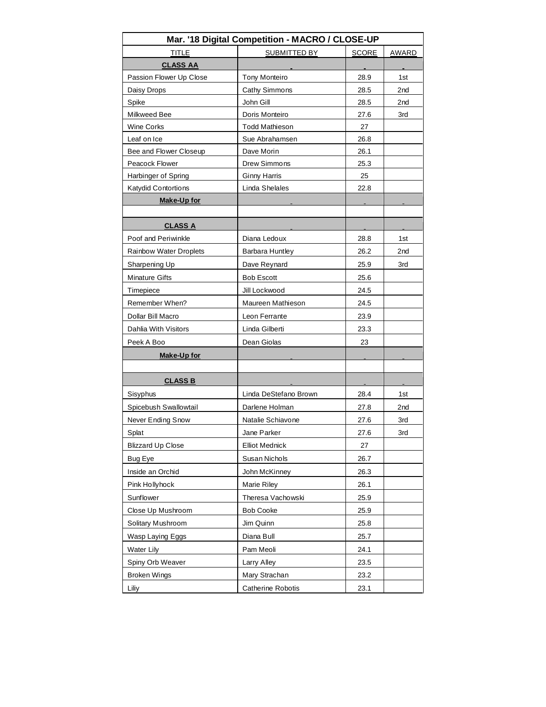| Mar. '18 Digital Competition - MACRO / CLOSE-UP |                        |              |       |  |  |  |  |  |  |  |
|-------------------------------------------------|------------------------|--------------|-------|--|--|--|--|--|--|--|
| <b>TITLE</b>                                    | SUBMITTED BY           | <b>SCORE</b> | AWARD |  |  |  |  |  |  |  |
| <b>CLASS AA</b>                                 |                        |              |       |  |  |  |  |  |  |  |
| Passion Flower Up Close                         | Tony Monteiro          | 28.9         | 1st   |  |  |  |  |  |  |  |
| Daisy Drops                                     | <b>Cathy Simmons</b>   | 28.5         | 2nd   |  |  |  |  |  |  |  |
| Spike                                           | John Gill              | 28.5         | 2nd   |  |  |  |  |  |  |  |
| Milkweed Bee                                    | Doris Monteiro         | 27.6         | 3rd   |  |  |  |  |  |  |  |
| Wine Corks                                      | <b>Todd Mathieson</b>  | 27           |       |  |  |  |  |  |  |  |
| Leaf on Ice                                     | Sue Abrahamsen         | 26.8         |       |  |  |  |  |  |  |  |
| Bee and Flower Closeup                          | Dave Morin             | 26.1         |       |  |  |  |  |  |  |  |
| Peacock Flower                                  | Drew Simmons           | 25.3         |       |  |  |  |  |  |  |  |
| Harbinger of Spring                             | <b>Ginny Harris</b>    | 25           |       |  |  |  |  |  |  |  |
| Katydid Contortions                             | Linda Shelales         | 22.8         |       |  |  |  |  |  |  |  |
| <b>Make-Up for</b>                              |                        |              |       |  |  |  |  |  |  |  |
|                                                 |                        |              |       |  |  |  |  |  |  |  |
| <b>CLASS A</b>                                  |                        |              |       |  |  |  |  |  |  |  |
| Poof and Periwinkle                             | Diana Ledoux           | 28.8         | 1st   |  |  |  |  |  |  |  |
| Rainbow Water Droplets                          | <b>Barbara Huntley</b> | 26.2         | 2nd   |  |  |  |  |  |  |  |
| Sharpening Up                                   | Dave Reynard           | 25.9         | 3rd   |  |  |  |  |  |  |  |
| <b>Minature Gifts</b>                           | <b>Bob Escott</b>      | 25.6         |       |  |  |  |  |  |  |  |
| Timepiece                                       | Jill Lockwood          | 24.5         |       |  |  |  |  |  |  |  |
| Remember When?                                  | Maureen Mathieson      | 24.5         |       |  |  |  |  |  |  |  |
| Dollar Bill Macro                               | Leon Ferrante          | 23.9         |       |  |  |  |  |  |  |  |
| Dahlia With Visitors                            | Linda Gilberti         | 23.3         |       |  |  |  |  |  |  |  |
| Peek A Boo                                      | Dean Giolas            | 23           |       |  |  |  |  |  |  |  |
| <b>Make-Up for</b>                              |                        |              |       |  |  |  |  |  |  |  |
|                                                 |                        |              |       |  |  |  |  |  |  |  |
| <b>CLASS B</b>                                  |                        |              |       |  |  |  |  |  |  |  |
| Sisyphus                                        | Linda DeStefano Brown  | 28.4         | 1st   |  |  |  |  |  |  |  |
| Spicebush Swallowtail                           | Darlene Holman         | 27.8         | 2nd   |  |  |  |  |  |  |  |
| Never Ending Snow                               | Natalie Schiavone      | 27.6         | 3rd   |  |  |  |  |  |  |  |
| Splat                                           | Jane Parker            | 27.6         | 3rd   |  |  |  |  |  |  |  |
| <b>Blizzard Up Close</b>                        | <b>Elliot Mednick</b>  | 27           |       |  |  |  |  |  |  |  |
| Bug Eye                                         | Susan Nichols          | 26.7         |       |  |  |  |  |  |  |  |
| Inside an Orchid                                | John McKinney          | 26.3         |       |  |  |  |  |  |  |  |
| Pink Hollyhock                                  | <b>Marie Riley</b>     | 26.1         |       |  |  |  |  |  |  |  |
| Sunflower                                       | Theresa Vachowski      | 25.9         |       |  |  |  |  |  |  |  |
| Close Up Mushroom                               | <b>Bob Cooke</b>       | 25.9         |       |  |  |  |  |  |  |  |
| Solitary Mushroom                               | Jim Quinn              | 25.8         |       |  |  |  |  |  |  |  |
| Wasp Laying Eggs                                | Diana Bull             | 25.7         |       |  |  |  |  |  |  |  |
| Water Lily                                      | Pam Meoli              | 24.1         |       |  |  |  |  |  |  |  |
| Spiny Orb Weaver                                | Larry Alley            | 23.5         |       |  |  |  |  |  |  |  |
| <b>Broken Wings</b>                             | Mary Strachan          | 23.2         |       |  |  |  |  |  |  |  |
|                                                 | Catherine Robotis      |              |       |  |  |  |  |  |  |  |
| Liliy                                           |                        | 23.1         |       |  |  |  |  |  |  |  |